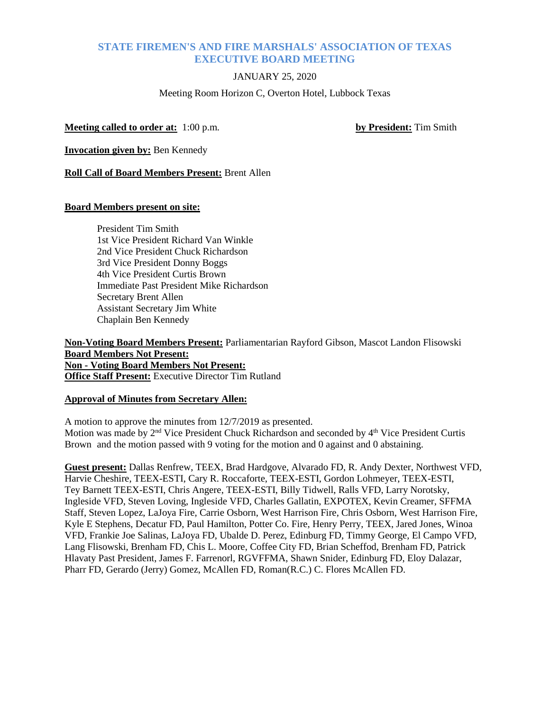# **STATE FIREMEN'S AND FIRE MARSHALS' ASSOCIATION OF TEXAS EXECUTIVE BOARD MEETING**

# JANUARY 25, 2020

Meeting Room Horizon C, Overton Hotel, Lubbock Texas

**Meeting called to order at:** 1:00 p.m. **by President:** Tim Smith

**Invocation given by:** Ben Kennedy

**Roll Call of Board Members Present:** Brent Allen

## **Board Members present on site:**

President Tim Smith 1st Vice President Richard Van Winkle 2nd Vice President Chuck Richardson 3rd Vice President Donny Boggs 4th Vice President Curtis Brown Immediate Past President Mike Richardson Secretary Brent Allen Assistant Secretary Jim White Chaplain Ben Kennedy

**Non-Voting Board Members Present:** Parliamentarian Rayford Gibson, Mascot Landon Flisowski **Board Members Not Present: Non - Voting Board Members Not Present: Office Staff Present:** Executive Director Tim Rutland

## **Approval of Minutes from Secretary Allen:**

A motion to approve the minutes from 12/7/2019 as presented. Motion was made by 2<sup>nd</sup> Vice President Chuck Richardson and seconded by 4<sup>th</sup> Vice President Curtis Brown and the motion passed with 9 voting for the motion and 0 against and 0 abstaining.

**Guest present:** Dallas Renfrew, TEEX, Brad Hardgove, Alvarado FD, R. Andy Dexter, Northwest VFD, Harvie Cheshire, TEEX-ESTI, Cary R. Roccaforte, TEEX-ESTI, Gordon Lohmeyer, TEEX-ESTI, Tey Barnett TEEX-ESTI, Chris Angere, TEEX-ESTI, Billy Tidwell, Ralls VFD, Larry Norotsky, Ingleside VFD, Steven Loving, Ingleside VFD, Charles Gallatin, EXPOTEX, Kevin Creamer, SFFMA Staff, Steven Lopez, LaJoya Fire, Carrie Osborn, West Harrison Fire, Chris Osborn, West Harrison Fire, Kyle E Stephens, Decatur FD, Paul Hamilton, Potter Co. Fire, Henry Perry, TEEX, Jared Jones, Winoa VFD, Frankie Joe Salinas, LaJoya FD, Ubalde D. Perez, Edinburg FD, Timmy George, El Campo VFD, Lang Flisowski, Brenham FD, Chis L. Moore, Coffee City FD, Brian Scheffod, Brenham FD, Patrick Hlavaty Past President, James F. Farrenorl, RGVFFMA, Shawn Snider, Edinburg FD, Eloy Dalazar, Pharr FD, Gerardo (Jerry) Gomez, McAllen FD, Roman(R.C.) C. Flores McAllen FD.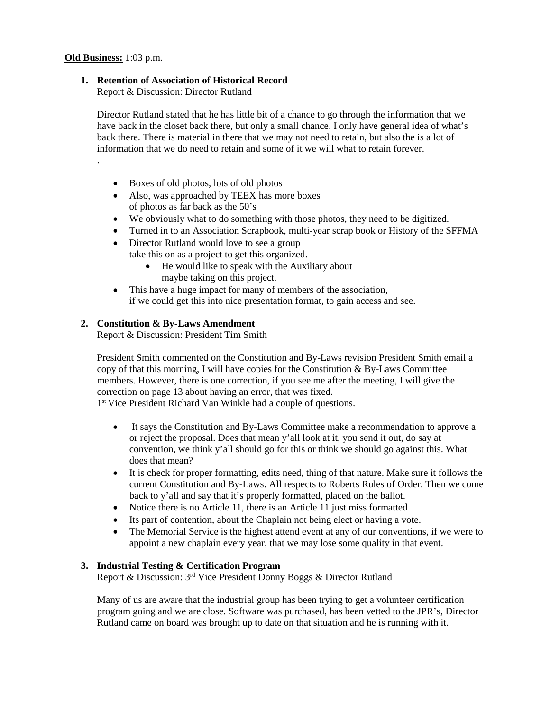.

## **1. Retention of Association of Historical Record**

Report & Discussion: Director Rutland

Director Rutland stated that he has little bit of a chance to go through the information that we have back in the closet back there, but only a small chance. I only have general idea of what's back there. There is material in there that we may not need to retain, but also the is a lot of information that we do need to retain and some of it we will what to retain forever.

- Boxes of old photos, lots of old photos
- Also, was approached by TEEX has more boxes of photos as far back as the 50's
- We obviously what to do something with those photos, they need to be digitized.
- Turned in to an Association Scrapbook, multi-year scrap book or History of the SFFMA
- Director Rutland would love to see a group take this on as a project to get this organized.
	- He would like to speak with the Auxiliary about maybe taking on this project.
- This have a huge impact for many of members of the association, if we could get this into nice presentation format, to gain access and see.

# **2. Constitution & By-Laws Amendment**

Report & Discussion: President Tim Smith

President Smith commented on the Constitution and By-Laws revision President Smith email a copy of that this morning, I will have copies for the Constitution & By-Laws Committee members. However, there is one correction, if you see me after the meeting, I will give the correction on page 13 about having an error, that was fixed.

1st Vice President Richard Van Winkle had a couple of questions.

- It says the Constitution and By-Laws Committee make a recommendation to approve a or reject the proposal. Does that mean y'all look at it, you send it out, do say at convention, we think y'all should go for this or think we should go against this. What does that mean?
- It is check for proper formatting, edits need, thing of that nature. Make sure it follows the current Constitution and By-Laws. All respects to Roberts Rules of Order. Then we come back to y'all and say that it's properly formatted, placed on the ballot.
- Notice there is no Article 11, there is an Article 11 just miss formatted
- Its part of contention, about the Chaplain not being elect or having a vote.
- The Memorial Service is the highest attend event at any of our conventions, if we were to appoint a new chaplain every year, that we may lose some quality in that event.

## **3. Industrial Testing & Certification Program**

Report & Discussion: 3rd Vice President Donny Boggs & Director Rutland

Many of us are aware that the industrial group has been trying to get a volunteer certification program going and we are close. Software was purchased, has been vetted to the JPR's, Director Rutland came on board was brought up to date on that situation and he is running with it.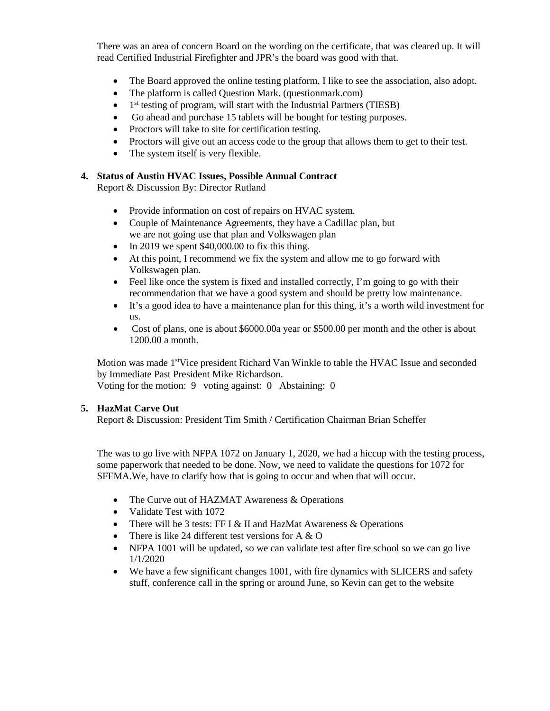There was an area of concern Board on the wording on the certificate, that was cleared up. It will read Certified Industrial Firefighter and JPR's the board was good with that.

- The Board approved the online testing platform, I like to see the association, also adopt.
- The platform is called Question Mark. (questionmark.com)
- $\bullet$  1<sup>st</sup> testing of program, will start with the Industrial Partners (TIESB)
- Go ahead and purchase 15 tablets will be bought for testing purposes.
- Proctors will take to site for certification testing.
- Proctors will give out an access code to the group that allows them to get to their test.
- The system itself is very flexible.

## **4. Status of Austin HVAC Issues, Possible Annual Contract**

Report & Discussion By: Director Rutland

- Provide information on cost of repairs on HVAC system.
- Couple of Maintenance Agreements, they have a Cadillac plan, but we are not going use that plan and Volkswagen plan
- In 2019 we spent \$40,000.00 to fix this thing.
- At this point, I recommend we fix the system and allow me to go forward with Volkswagen plan.
- Feel like once the system is fixed and installed correctly, I'm going to go with their recommendation that we have a good system and should be pretty low maintenance.
- It's a good idea to have a maintenance plan for this thing, it's a worth wild investment for us.
- Cost of plans, one is about \$6000.00a year or \$500.00 per month and the other is about 1200.00 a month.

Motion was made 1<sup>st</sup>Vice president Richard Van Winkle to table the HVAC Issue and seconded by Immediate Past President Mike Richardson.

Voting for the motion: 9 voting against: 0 Abstaining: 0

# **5. HazMat Carve Out**

Report & Discussion: President Tim Smith / Certification Chairman Brian Scheffer

The was to go live with NFPA 1072 on January 1, 2020, we had a hiccup with the testing process, some paperwork that needed to be done. Now, we need to validate the questions for 1072 for SFFMA.We, have to clarify how that is going to occur and when that will occur.

- The Curve out of HAZMAT Awareness & Operations
- Validate Test with 1072
- There will be 3 tests: FF I & II and HazMat Awareness & Operations
- There is like 24 different test versions for  $A \& O$
- NFPA 1001 will be updated, so we can validate test after fire school so we can go live 1/1/2020
- We have a few significant changes 1001, with fire dynamics with SLICERS and safety stuff, conference call in the spring or around June, so Kevin can get to the website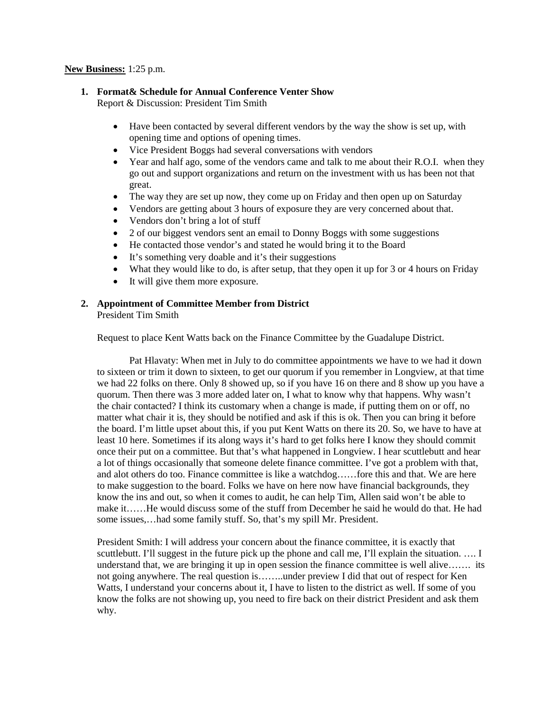#### **New Business:** 1:25 p.m.

### **1. Format& Schedule for Annual Conference Venter Show**

Report & Discussion: President Tim Smith

- Have been contacted by several different vendors by the way the show is set up, with opening time and options of opening times.
- Vice President Boggs had several conversations with vendors
- Year and half ago, some of the vendors came and talk to me about their R.O.I. when they go out and support organizations and return on the investment with us has been not that great.
- The way they are set up now, they come up on Friday and then open up on Saturday
- Vendors are getting about 3 hours of exposure they are very concerned about that.
- Vendors don't bring a lot of stuff
- 2 of our biggest vendors sent an email to Donny Boggs with some suggestions
- He contacted those vendor's and stated he would bring it to the Board
- It's something very doable and it's their suggestions
- What they would like to do, is after setup, that they open it up for 3 or 4 hours on Friday
- It will give them more exposure.

# **2. Appointment of Committee Member from District**

President Tim Smith

Request to place Kent Watts back on the Finance Committee by the Guadalupe District.

Pat Hlavaty: When met in July to do committee appointments we have to we had it down to sixteen or trim it down to sixteen, to get our quorum if you remember in Longview, at that time we had 22 folks on there. Only 8 showed up, so if you have 16 on there and 8 show up you have a quorum. Then there was 3 more added later on, I what to know why that happens. Why wasn't the chair contacted? I think its customary when a change is made, if putting them on or off, no matter what chair it is, they should be notified and ask if this is ok. Then you can bring it before the board. I'm little upset about this, if you put Kent Watts on there its 20. So, we have to have at least 10 here. Sometimes if its along ways it's hard to get folks here I know they should commit once their put on a committee. But that's what happened in Longview. I hear scuttlebutt and hear a lot of things occasionally that someone delete finance committee. I've got a problem with that, and alot others do too. Finance committee is like a watchdog……fore this and that. We are here to make suggestion to the board. Folks we have on here now have financial backgrounds, they know the ins and out, so when it comes to audit, he can help Tim, Allen said won't be able to make it……He would discuss some of the stuff from December he said he would do that. He had some issues,…had some family stuff. So, that's my spill Mr. President.

President Smith: I will address your concern about the finance committee, it is exactly that scuttlebutt. I'll suggest in the future pick up the phone and call me, I'll explain the situation. .... I understand that, we are bringing it up in open session the finance committee is well alive……. its not going anywhere. The real question is……..under preview I did that out of respect for Ken Watts, I understand your concerns about it, I have to listen to the district as well. If some of you know the folks are not showing up, you need to fire back on their district President and ask them why.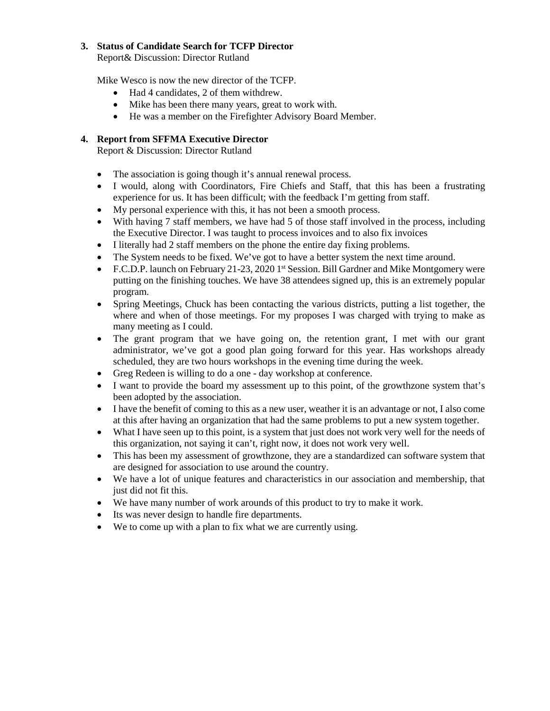# **3. Status of Candidate Search for TCFP Director**

Report& Discussion: Director Rutland

Mike Wesco is now the new director of the TCFP.

- Had 4 candidates, 2 of them withdrew.
- Mike has been there many years, great to work with.
- He was a member on the Firefighter Advisory Board Member.

## **4. Report from SFFMA Executive Director**

Report & Discussion: Director Rutland

- The association is going though it's annual renewal process.
- I would, along with Coordinators, Fire Chiefs and Staff, that this has been a frustrating experience for us. It has been difficult; with the feedback I'm getting from staff.
- My personal experience with this, it has not been a smooth process.
- With having 7 staff members, we have had 5 of those staff involved in the process, including the Executive Director. I was taught to process invoices and to also fix invoices
- I literally had 2 staff members on the phone the entire day fixing problems.
- The System needs to be fixed. We've got to have a better system the next time around.
- F.C.D.P. launch on February 21-23, 2020 1<sup>st</sup> Session. Bill Gardner and Mike Montgomery were putting on the finishing touches. We have 38 attendees signed up, this is an extremely popular program.
- Spring Meetings, Chuck has been contacting the various districts, putting a list together, the where and when of those meetings. For my proposes I was charged with trying to make as many meeting as I could.
- The grant program that we have going on, the retention grant, I met with our grant administrator, we've got a good plan going forward for this year. Has workshops already scheduled, they are two hours workshops in the evening time during the week.
- Greg Redeen is willing to do a one day workshop at conference.
- I want to provide the board my assessment up to this point, of the growthzone system that's been adopted by the association.
- I have the benefit of coming to this as a new user, weather it is an advantage or not, I also come at this after having an organization that had the same problems to put a new system together.
- What I have seen up to this point, is a system that just does not work very well for the needs of this organization, not saying it can't, right now, it does not work very well.
- This has been my assessment of growthzone, they are a standardized can software system that are designed for association to use around the country.
- We have a lot of unique features and characteristics in our association and membership, that just did not fit this.
- We have many number of work arounds of this product to try to make it work.
- Its was never design to handle fire departments.
- We to come up with a plan to fix what we are currently using.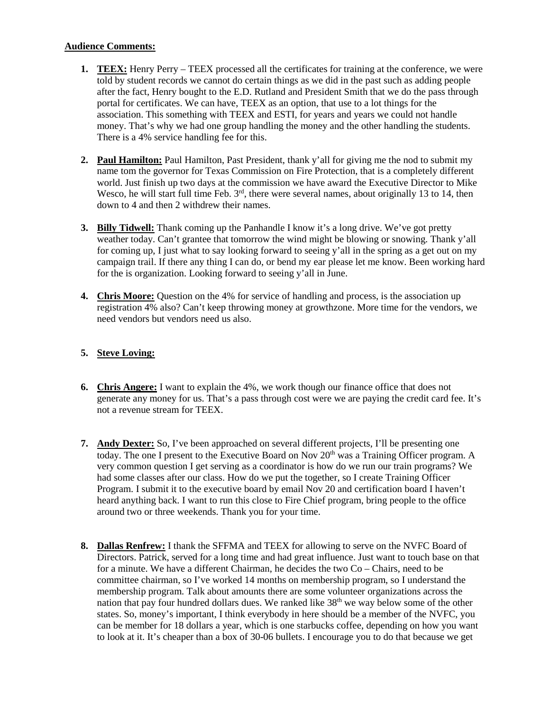# **Audience Comments:**

- **1. TEEX:** Henry Perry TEEX processed all the certificates for training at the conference, we were told by student records we cannot do certain things as we did in the past such as adding people after the fact, Henry bought to the E.D. Rutland and President Smith that we do the pass through portal for certificates. We can have, TEEX as an option, that use to a lot things for the association. This something with TEEX and ESTI, for years and years we could not handle money. That's why we had one group handling the money and the other handling the students. There is a 4% service handling fee for this.
- **2. Paul Hamilton:** Paul Hamilton, Past President, thank y'all for giving me the nod to submit my name tom the governor for Texas Commission on Fire Protection, that is a completely different world. Just finish up two days at the commission we have award the Executive Director to Mike Wesco, he will start full time Feb. 3<sup>rd</sup>, there were several names, about originally 13 to 14, then down to 4 and then 2 withdrew their names.
- **3. Billy Tidwell:** Thank coming up the Panhandle I know it's a long drive. We've got pretty weather today. Can't grantee that tomorrow the wind might be blowing or snowing. Thank y'all for coming up, I just what to say looking forward to seeing y'all in the spring as a get out on my campaign trail. If there any thing I can do, or bend my ear please let me know. Been working hard for the is organization. Looking forward to seeing y'all in June.
- **4. Chris Moore:** Question on the 4% for service of handling and process, is the association up registration 4% also? Can't keep throwing money at growthzone. More time for the vendors, we need vendors but vendors need us also.

# **5. Steve Loving:**

- **6. Chris Angere:** I want to explain the 4%, we work though our finance office that does not generate any money for us. That's a pass through cost were we are paying the credit card fee. It's not a revenue stream for TEEX.
- **7. Andy Dexter:** So, I've been approached on several different projects, I'll be presenting one today. The one I present to the Executive Board on Nov  $20<sup>th</sup>$  was a Training Officer program. A very common question I get serving as a coordinator is how do we run our train programs? We had some classes after our class. How do we put the together, so I create Training Officer Program. I submit it to the executive board by email Nov 20 and certification board I haven't heard anything back. I want to run this close to Fire Chief program, bring people to the office around two or three weekends. Thank you for your time.
- **8. Dallas Renfrew:** I thank the SFFMA and TEEX for allowing to serve on the NVFC Board of Directors. Patrick, served for a long time and had great influence. Just want to touch base on that for a minute. We have a different Chairman, he decides the two Co – Chairs, need to be committee chairman, so I've worked 14 months on membership program, so I understand the membership program. Talk about amounts there are some volunteer organizations across the nation that pay four hundred dollars dues. We ranked like 38<sup>th</sup> we way below some of the other states. So, money's important, I think everybody in here should be a member of the NVFC, you can be member for 18 dollars a year, which is one starbucks coffee, depending on how you want to look at it. It's cheaper than a box of 30-06 bullets. I encourage you to do that because we get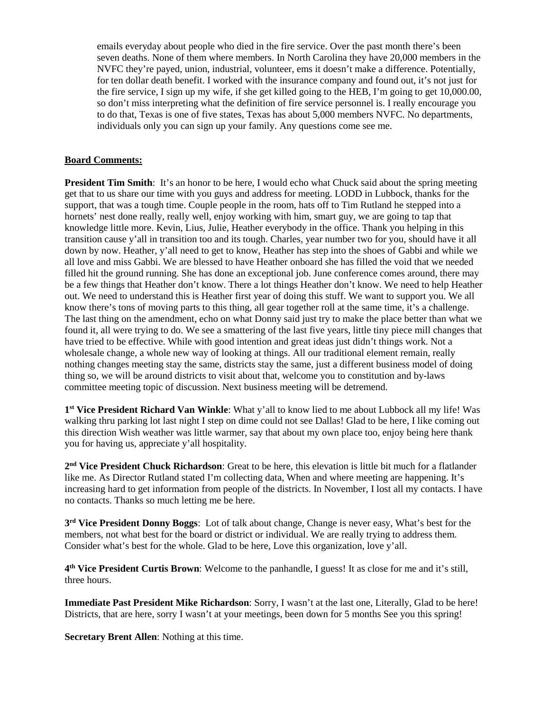emails everyday about people who died in the fire service. Over the past month there's been seven deaths. None of them where members. In North Carolina they have 20,000 members in the NVFC they're payed, union, industrial, volunteer, ems it doesn't make a difference. Potentially, for ten dollar death benefit. I worked with the insurance company and found out, it's not just for the fire service, I sign up my wife, if she get killed going to the HEB, I'm going to get 10,000.00, so don't miss interpreting what the definition of fire service personnel is. I really encourage you to do that, Texas is one of five states, Texas has about 5,000 members NVFC. No departments, individuals only you can sign up your family. Any questions come see me.

### **Board Comments:**

**President Tim Smith**: It's an honor to be here, I would echo what Chuck said about the spring meeting get that to us share our time with you guys and address for meeting. LODD in Lubbock, thanks for the support, that was a tough time. Couple people in the room, hats off to Tim Rutland he stepped into a hornets' nest done really, really well, enjoy working with him, smart guy, we are going to tap that knowledge little more. Kevin, Lius, Julie, Heather everybody in the office. Thank you helping in this transition cause y'all in transition too and its tough. Charles, year number two for you, should have it all down by now. Heather, y'all need to get to know, Heather has step into the shoes of Gabbi and while we all love and miss Gabbi. We are blessed to have Heather onboard she has filled the void that we needed filled hit the ground running. She has done an exceptional job. June conference comes around, there may be a few things that Heather don't know. There a lot things Heather don't know. We need to help Heather out. We need to understand this is Heather first year of doing this stuff. We want to support you. We all know there's tons of moving parts to this thing, all gear together roll at the same time, it's a challenge. The last thing on the amendment, echo on what Donny said just try to make the place better than what we found it, all were trying to do. We see a smattering of the last five years, little tiny piece mill changes that have tried to be effective. While with good intention and great ideas just didn't things work. Not a wholesale change, a whole new way of looking at things. All our traditional element remain, really nothing changes meeting stay the same, districts stay the same, just a different business model of doing thing so, we will be around districts to visit about that, welcome you to constitution and by-laws committee meeting topic of discussion. Next business meeting will be detremend.

**1st Vice President Richard Van Winkle**: What y'all to know lied to me about Lubbock all my life! Was walking thru parking lot last night I step on dime could not see Dallas! Glad to be here, I like coming out this direction Wish weather was little warmer, say that about my own place too, enjoy being here thank you for having us, appreciate y'all hospitality.

**2nd Vice President Chuck Richardson**: Great to be here, this elevation is little bit much for a flatlander like me. As Director Rutland stated I'm collecting data, When and where meeting are happening. It's increasing hard to get information from people of the districts. In November, I lost all my contacts. I have no contacts. Thanks so much letting me be here.

**3rd Vice President Donny Boggs**: Lot of talk about change, Change is never easy, What's best for the members, not what best for the board or district or individual. We are really trying to address them. Consider what's best for the whole. Glad to be here, Love this organization, love y'all.

**4th Vice President Curtis Brown**: Welcome to the panhandle, I guess! It as close for me and it's still, three hours.

**Immediate Past President Mike Richardson**: Sorry, I wasn't at the last one, Literally, Glad to be here! Districts, that are here, sorry I wasn't at your meetings, been down for 5 months See you this spring!

**Secretary Brent Allen**: Nothing at this time.